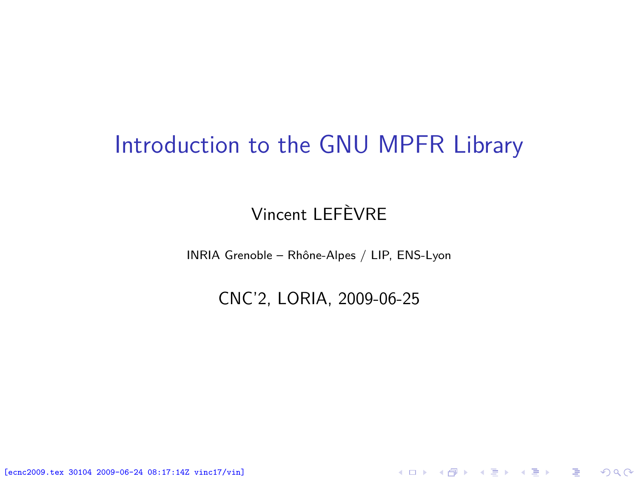#### Introduction to the GNU MPFR Library

#### Vincent LEFÈVRE

INRIA Grenoble – Rhône-Alpes / LIP, ENS-Lyon

CNC'2, LORIA, 2009-06-25

<span id="page-0-0"></span>K ロ ▶ K @ ▶ K 할 ▶ K 할 ▶ 이 할 → 900

[ecnc2009.tex 30104 2009-06-24 08:17:14Z vinc17/vin]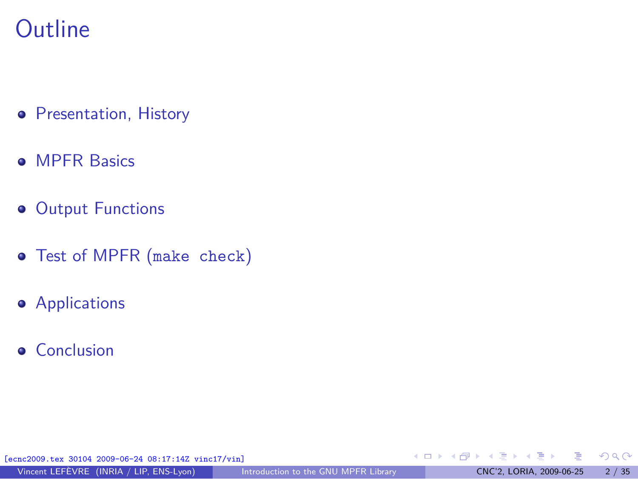### **Outline**

- **•** [Presentation, History](#page-2-0)
- **[MPFR Basics](#page-5-0)**
- **[Output Functions](#page-13-0)**
- [Test of MPFR \(](#page-16-0)make check)
- **•** [Applications](#page-21-0)
- **•** [Conclusion](#page-32-0)

[ecnc2009.tex 30104 2009-06-24 08:17:14Z vinc17/vin]

∍

メロトメ 倒 トメ ミトメ ミト

 $299$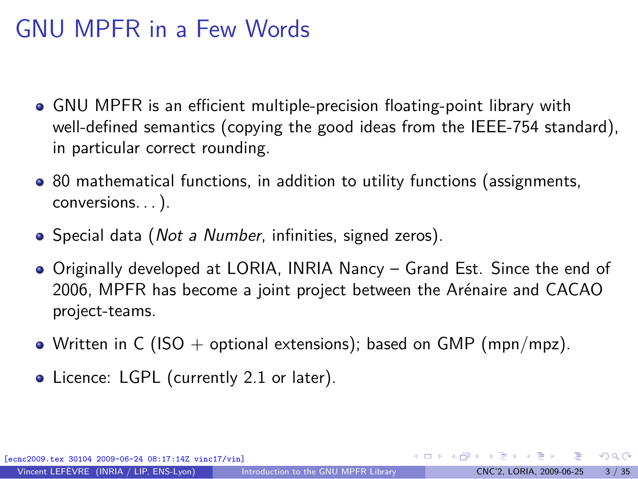## GNU MPFR in a Few Words

- GNU MPFR is an efficient multiple-precision floating-point library with well-defined semantics (copying the good ideas from the IEEE-754 standard), in particular correct rounding.
- 80 mathematical functions, in addition to utility functions (assignments, conversions. . . ).
- Special data (*Not a Number*, infinities, signed zeros).
- Originally developed at LORIA, INRIA Nancy Grand Est. Since the end of 2006, MPFR has become a joint project between the Arénaire and CACAO project-teams.
- Written in C (ISO + optional extensions); based on GMP (mpn/mpz).
- **Licence: LGPL (currently 2.1 or later).**

30104 2009-06-24 08:17:14Z vinc17/vin]

<span id="page-2-0"></span> $\Omega$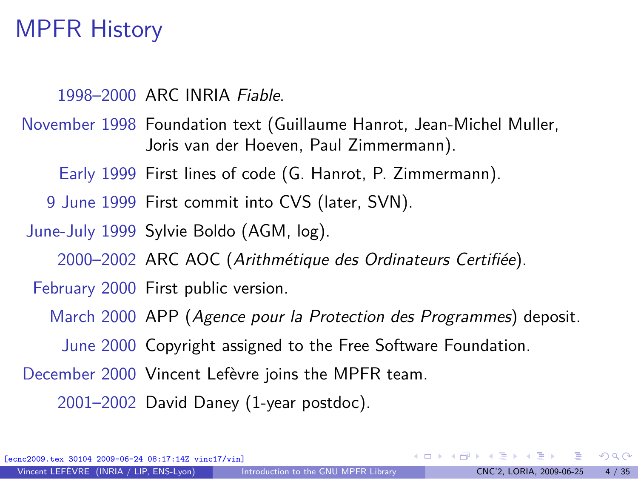### MPFR History

```
1998–2000 ARC INRIA Fiable.
```
November 1998 Foundation text (Guillaume Hanrot, Jean-Michel Muller, Joris van der Hoeven, Paul Zimmermann).

Early 1999 First lines of code (G. Hanrot, P. Zimmermann).

9 June 1999 First commit into CVS (later, SVN).

June-July 1999 Sylvie Boldo (AGM, log).

2000–2002 ARC AOC (Arithmétique des Ordinateurs Certifiée).

February 2000 First public version.

March 2000 APP (Agence pour la Protection des Programmes) deposit.

June 2000 Copyright assigned to the Free Software Foundation.

December 2000 Vincent Lefèvre joins the MPFR team.

2001–2002 David Daney (1-year postdoc).

[ecnc2009.tex 30104 2009-06-24 08:17:14Z vinc17/vin]

 $\Omega$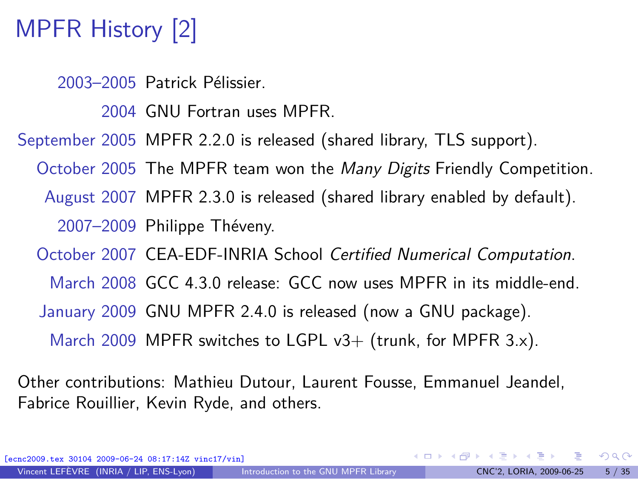# MPFR History [2]

2003–2005 Patrick Pélissier.

2004 GNU Fortran uses MPFR.

September 2005 MPFR 2.2.0 is released (shared library, TLS support).

October 2005 The MPFR team won the Many Digits Friendly Competition.

August 2007 MPFR 2.3.0 is released (shared library enabled by default).

2007–2009 Philippe Théveny.

October 2007 CEA-EDF-INRIA School Certified Numerical Computation.

March 2008 GCC 4.3.0 release: GCC now uses MPFR in its middle-end.

January 2009 GNU MPFR 2.4.0 is released (now a GNU package).

March 2009 MPFR switches to LGPL  $v3+$  (trunk, for MPFR 3.x).

Other contributions: Mathieu Dutour, Laurent Fousse, Emmanuel Jeandel, Fabrice Rouillier, Kevin Ryde, and others.

[ecnc2009.tex 30104 2009-06-24 08:17:14Z vinc17/vin]

 $\Omega$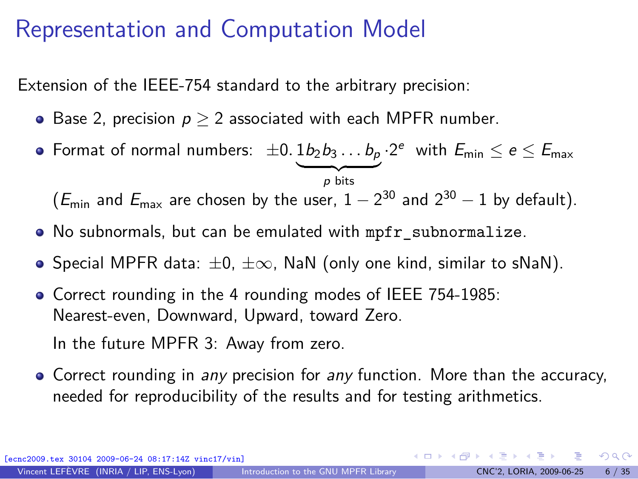## Representation and Computation Model

Extension of the IEEE-754 standard to the arbitrary precision:

- Base 2, precision p *≥* 2 associated with each MPFR number.
- Format of normal numbers:  $\pm 0.1b_2b_3\dots b_p\cdot 2^e$  with  $E_{\sf min}\leq e\leq E_{\sf max}$  $\overline{p}$  bits

 $(E_{\text{min}}$  and  $E_{\text{max}}$  are chosen by the user,  $1-2^{30}$  and  $2^{30}-1$  by default).

- No subnormals, but can be emulated with mpfr\_subnormalize.
- Special MPFR data: *±*0, *±∞*, NaN (only one kind, similar to sNaN).
- Correct rounding in the 4 rounding modes of IEEE 754-1985: Nearest-even, Downward, Upward, toward Zero. In the future MPFR 3: Away from zero.
- Correct rounding in any precision for any function. More than the accuracy, needed for reproducibility of the results and for testing arithmetics.

04 2009-06-24 08:17:14Z vinc17/vin]

<span id="page-5-0"></span> $\Omega$ 

 $\mathbf{A} \equiv \mathbf{A} + \mathbf{A} \mathbf{B} + \mathbf{A} \mathbf{B} + \mathbf{A} \mathbf{B} + \mathbf{A} \mathbf{B}$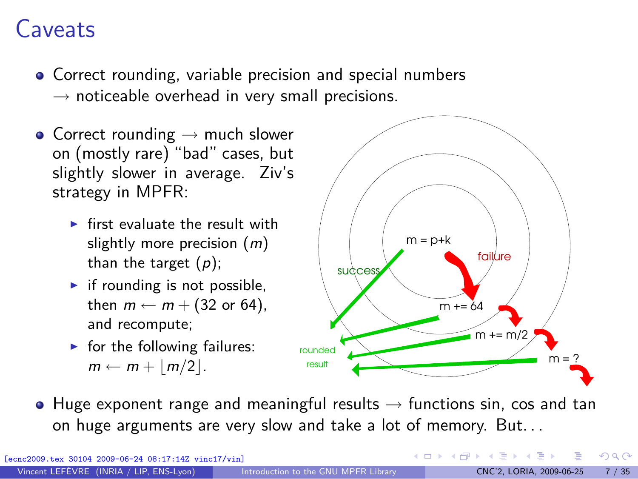## **Caveats**

- Correct rounding, variable precision and special numbers *→* noticeable overhead in very small precisions.
- Correct rounding *→* much slower on (mostly rare) "bad" cases, but slightly slower in average. Ziv's strategy in MPFR:
	- $\blacktriangleright$  first evaluate the result with slightly more precision  $(m)$ than the target  $(p)$ ;
	- $\blacktriangleright$  if rounding is not possible, then  $m \leftarrow m + (32 \text{ or } 64)$ , and recompute;
	- $\blacktriangleright$  for the following failures:  $m \leftarrow m + |m/2|$ .



 $($  ロ )  $($   $($  $)$   $)$   $($   $)$   $($   $)$   $($   $)$   $($   $)$   $($   $)$   $($   $)$   $($   $)$   $($   $)$   $($   $)$   $($   $)$   $($   $)$   $($   $)$   $($   $)$   $($   $)$   $($   $)$   $($   $)$   $($   $)$   $($   $)$   $($   $)$   $($   $)$   $($   $)$   $($   $)$   $($   $)$   $($   $)$   $($   $)$ 

• Huge exponent range and meaningful results  $→$  functions sin, cos and tan on huge arguments are very slow and take a lot of memory. But. . .

[ecnc2009.tex 30104 2009-06-24 08:17:14Z vinc17/vin]

 $QQ$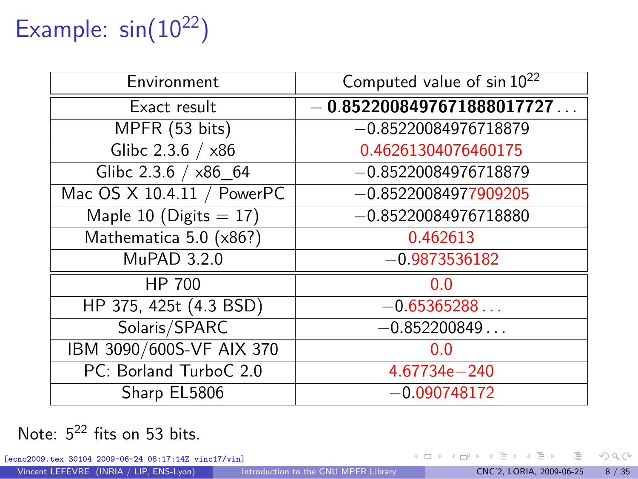# Example:  $sin(10^{22})$

| Environment                | Computed value of sin 10 <sup>22</sup> |
|----------------------------|----------------------------------------|
| Exact result               | $-0.8522008497671888017727$            |
| MPFR (53 bits)             | $-0.85220084976718879$                 |
| Glibc $2.3.6 / x86$        | 0.46261304076460175                    |
| Glibc 2.3.6 / x86_64       | $-0.85220084976718879$                 |
| Mac OS X 10.4.11 / PowerPC | $-0.85220084977909205$                 |
| Maple 10 (Digits $= 17$ )  | $-0.85220084976718880$                 |
| Mathematica 5.0 (x86?)     | 0.462613                               |
| MuPAD 3.2.0                | $-0.9873536182$                        |
| HP 700                     | 0.0                                    |
| HP 375, 425t (4.3 BSD)     | $-0.65365288$                          |
| Solaris/SPARC              | $-0.852200849$                         |
| IBM 3090/600S-VF AIX 370   | 0.0                                    |
| PC: Borland TurboC 2.0     | 4.67734e-240                           |
| Sharp EL5806               | $-0.090748172$                         |

#### Note:  $5^{22}$  fits on 53 bits.

[ecnc2009.tex 30104 2009-06-24 08:17:14Z vinc17/vin]

э

 $299$ 

メロメ メ御 メメ ヨメ メヨメ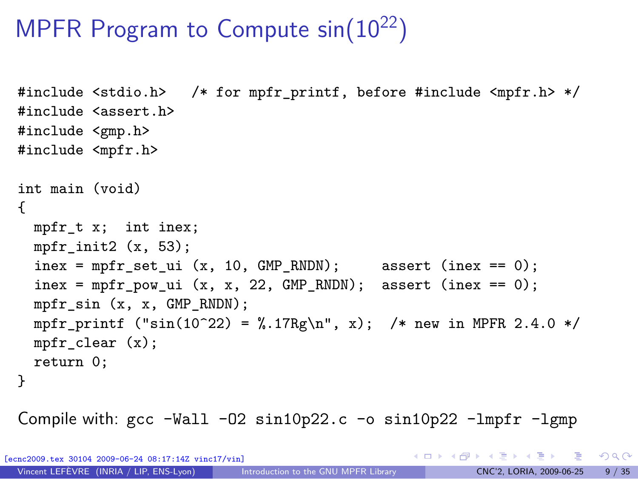## MPFR Program to Compute  $sin(10^{22})$

```
#include <stdio.h> /* for mpfr_printf, before #include <mpfr.h> */
#include <assert.h>
#include <gmp.h>
#include <mpfr.h>
int main (void)
{
 mpfr_t x; int inex;
 mpfr init2 (x, 53);
  inex = mpfr_set_ui (x, 10, GMP_RNDN); assert (inex == 0);
 \text{inex} = \text{mpfr\_pow\_ui} (x, x, 22, GMP_RNDN); assert (inex == 0);
 mpfr_sin (x, x, GMP_RNDN);
 mpfr_printf ("sin(10^22) = %.17Rg\n", x); /* new in MPFR 2.4.0 */
 mpfr clear (x);
 return 0;
}
```
Compile with:  $\text{gcc -Wall } -02 \sin 10p22$ .  $\text{c}$  -o  $\sin 10p22$  -lmpfr -lgmp

[ecnc2009.tex 30104 2009-06-24 08:17:14Z vinc17/vin]

K ロ ▶ K 個 ▶ K 로 ▶ K 로 ▶ - 로 - K 9 Q @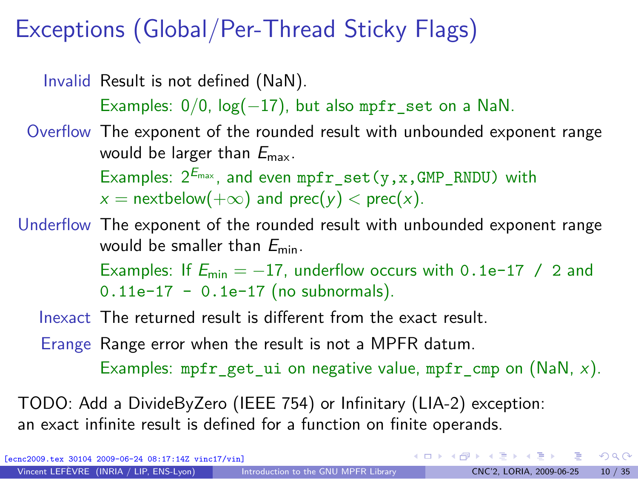## Exceptions (Global/Per-Thread Sticky Flags)

Invalid Result is not defined (NaN).

Examples: 0*/*0, log(*−*17), but also mpfr\_set on a NaN.

Overflow The exponent of the rounded result with unbounded exponent range would be larger than  $E_{\text{max}}$ .

> Examples:  $2^{E_{\text{max}}}$ , and even mpfr\_set(y,x,GMP\_RNDU) with  $x =$  nextbelow( $+\infty$ ) and prec(y)  $<$  prec(x).

Underflow The exponent of the rounded result with unbounded exponent range would be smaller than  $E_{\text{min}}$ .

Examples: If  $E_{\text{min}} = -17$ , underflow occurs with 0.1e-17 / 2 and  $0.11e-17 - 0.1e-17$  (no subnormals).

Inexact The returned result is different from the exact result.

Erange Range error when the result is not a MPFR datum.

Examples: mpfr\_get\_ui on negative value, mpfr\_cmp on (NaN,  $x$ ).

TODO: Add a DivideByZero (IEEE 754) or Infinitary (LIA-2) exception: an exact infinite result is defined for a function on finite operands.

[ecnc2009.tex 30104 2009-06-24 08:17:14Z vinc17/vin]

 $\Omega$ 

 $\left\{ \begin{array}{ccc} \square & \times & \square & \times & \times \end{array} \right.$  and  $\left\{ \begin{array}{ccc} \square & \times & \times & \square & \times \end{array} \right.$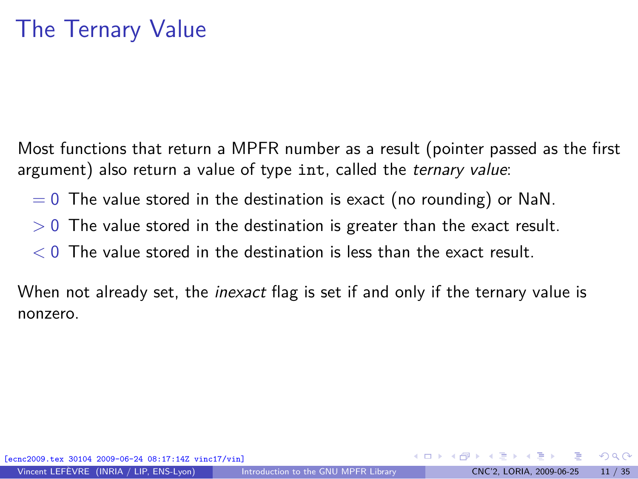Most functions that return a MPFR number as a result (pointer passed as the first argument) also return a value of type int, called the ternary value:

- $= 0$  The value stored in the destination is exact (no rounding) or NaN.
- *>* 0 The value stored in the destination is greater than the exact result.
- *<* 0 The value stored in the destination is less than the exact result.

When not already set, the *inexact* flag is set if and only if the ternary value is nonzero.

 $\Omega$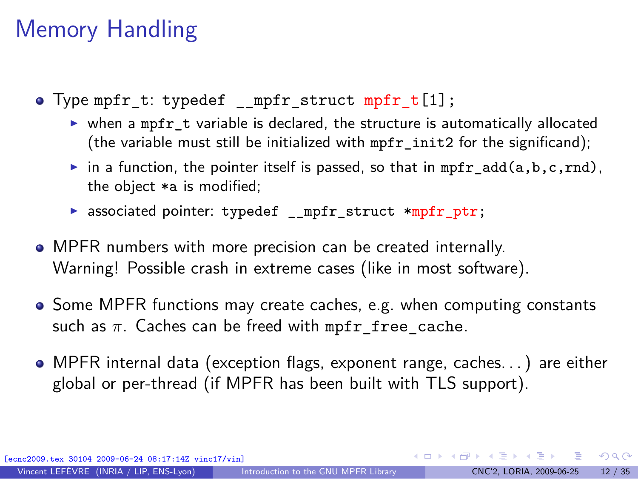## Memory Handling

- Type mpfr t: typedef mpfr struct mpfr t[1];
	- ▶ when a mpfr\_t variable is declared, the structure is automatically allocated (the variable must still be initialized with mpfr\_init2 for the significand);
	- in a function, the pointer itself is passed, so that in mpfr\_add(a,b,c,rnd), the object \*a is modified;
	- ▶ associated pointer: typedef \_\_mpfr\_struct \*mpfr\_ptr;
- MPFR numbers with more precision can be created internally. Warning! Possible crash in extreme cases (like in most software).
- Some MPFR functions may create caches, e.g. when computing constants such as  $\pi$ . Caches can be freed with mpfr free cache.
- MPFR internal data (exception flags, exponent range, caches. . . ) are either global or per-thread (if MPFR has been built with TLS support).

[ecnc2009.tex 30104 2009-06-24 08:17:14Z vinc17/vin]

 $\Omega$ 

 $A \equiv \begin{pmatrix} 1 & 0 & 0 \\ 0 & 1 & 0 \\ 0 & 0 & 0 \end{pmatrix} \in A \Rightarrow A \equiv \begin{pmatrix} 1 & 0 & 0 \\ 0 & 1 & 0 \\ 0 & 0 & 0 \end{pmatrix} \in A$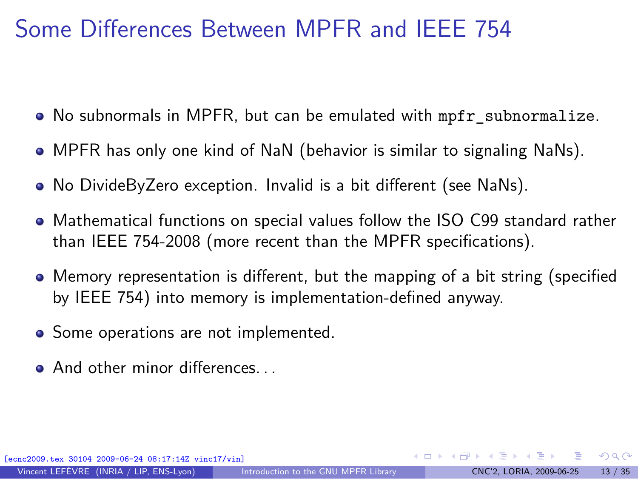## Some Differences Between MPFR and IEEE 754

- No subnormals in MPFR, but can be emulated with mpfr\_subnormalize.
- MPFR has only one kind of NaN (behavior is similar to signaling NaNs).
- No DivideByZero exception. Invalid is a bit different (see NaNs).
- Mathematical functions on special values follow the ISO C99 standard rather than IEEE 754-2008 (more recent than the MPFR specifications).
- Memory representation is different, but the mapping of a bit string (specified by IEEE 754) into memory is implementation-defined anyway.
- Some operations are not implemented.
- And other minor differences.

[ecnc2009.tex 30104 2009-06-24 08:17:14Z vinc17/vin]

 $\Omega$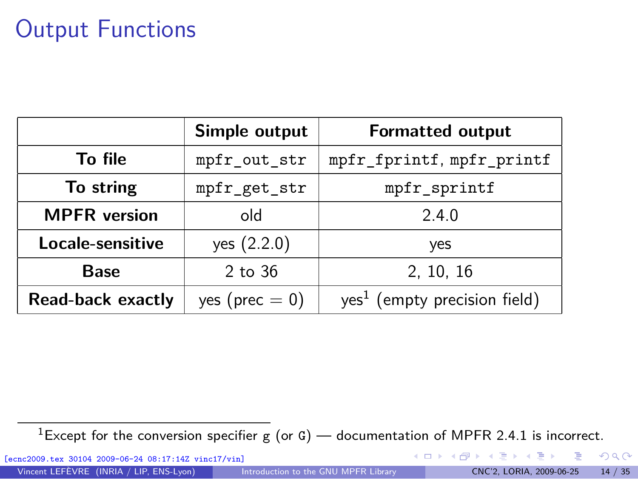## Output Functions

|                     | Simple output      | <b>Formatted output</b>                  |  |
|---------------------|--------------------|------------------------------------------|--|
| To file             | mpfr_out_str       | mpfr_fprintf, mpfr_printf                |  |
| To string           | mpfr_get_str       | mpfr_sprintf                             |  |
| <b>MPFR</b> version | old                | 2.4.0                                    |  |
| Locale-sensitive    | yes $(2.2.0)$      | yes                                      |  |
| Base                | 2 to 36            | 2, 10, 16                                |  |
| Read-back exactly   | yes ( $prec = 0$ ) | yes <sup>1</sup> (empty precision field) |  |

<sup>1</sup>Except for the conversion specifier g (or G) — documentation of MPFR 2.4.1 is incorrect.

[ecnc2009.tex 30104 2009-06-24 08:17:14Z vinc17/vin]

<span id="page-13-0"></span> $299$ 

造

**K ロ ト K 個 ト K 差 ト K 差 ト**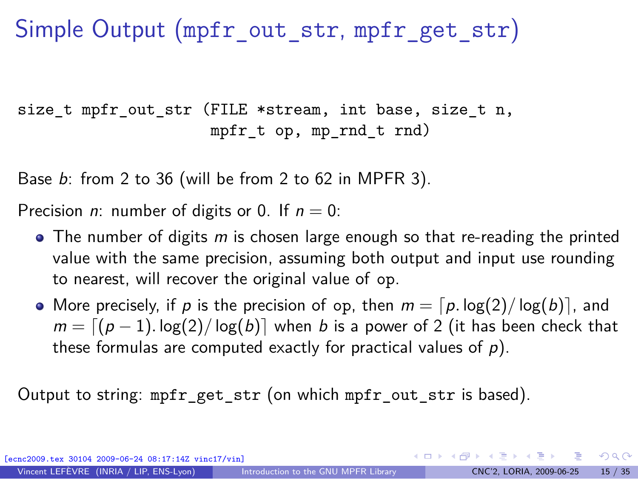## Simple Output (mpfr\_out\_str, mpfr\_get\_str)

size t mpfr out str (FILE \*stream, int base, size t n, mpfr $t$  op, mp $rnd$  $t$   $rnd$ )

Base b: from 2 to 36 (will be from 2 to 62 in MPFR 3).

Precision *n*: number of digits or 0. If  $n = 0$ :

- $\bullet$  The number of digits m is chosen large enough so that re-reading the printed value with the same precision, assuming both output and input use rounding to nearest, will recover the original value of op.
- More precisely, if p is the precision of op, then  $m = \lceil p \cdot \log(2) / \log(b) \rceil$ , and *m* =  $(p − 1)$ *.* log(2)/log(b)] when b is a power of 2 (it has been check that these formulas are computed exactly for practical values of  $p$ ).

Output to string: mpfr\_get\_str (on which mpfr\_out\_str is based).

30104 2009-06-24 08:17:14Z vinc17/vin]

**KOD KARD KED KED BI YOUN**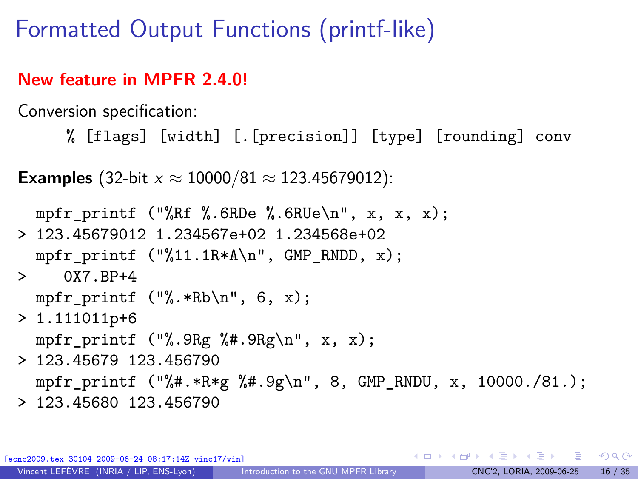Formatted Output Functions (printf-like)

#### **New feature in MPFR 2.4.0!**

Conversion specification:

% [flags] [width] [.[precision]] [type] [rounding] conv

**Examples** (32-bit  $x \approx 10000/81 \approx 123.45679012$ ):

```
mpfr_printf ("%Rf %.6RDe %.6RUe\n", x, x, x);
> 123.45679012 1.234567e+02 1.234568e+02
  mpfr_printf ("%11.1R*A\n", GMP_RNDD, x);> 0X7.BP+4
  mpfr_printf (\frac{9}{8} \cdot *Rb \n\cdot 7, 6, x);> 1.111011p+6mpfr_printf ("%.9Rg %#.9Rg\n", x, x);
> 123.45679 123.456790
  mpfr_printf ("%#.*R*g %#.9g\n", 8, GMP_RNDU, x, 10000./81.);
```
> 123.45680 123.456790

[04 2009-06-24 08:17:14Z vinc17/vin]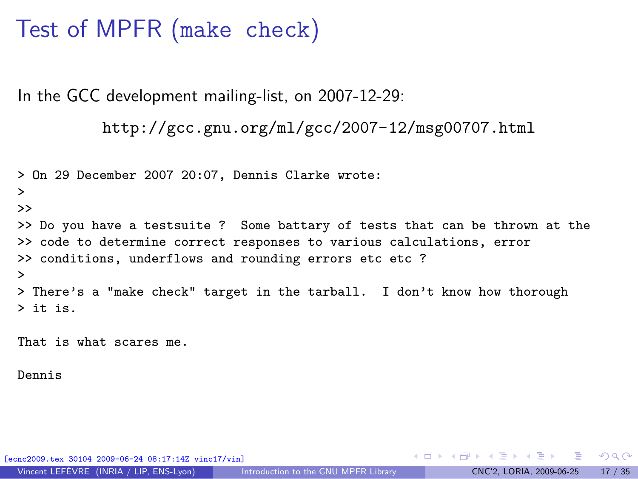### Test of MPFR (make check)

In the GCC development mailing-list, on 2007-12-29:

```
http://gcc.gnu.org/ml/gcc/2007-12/msg00707.html
```

```
> On 29 December 2007 20:07, Dennis Clarke wrote:
>
>>
>> Do you have a testsuite ? Some battary of tests that can be thrown at the
>> code to determine correct responses to various calculations, error
>> conditions, underflows and rounding errors etc etc ?
>
> There's a "make check" target in the tarball. I don't know how thorough
> it is.
```
That is what scares me.

Dennis

[ecnc2009.tex 30104 2009-06-24 08:17:14Z vinc17/vin]

イロト イ何 トイヨ トイヨト

<span id="page-16-0"></span> $QQ$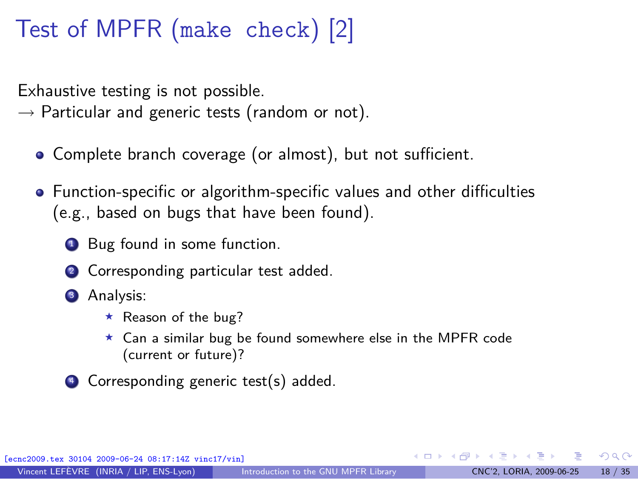## Test of MPFR (make check) [2]

Exhaustive testing is not possible.

*→* Particular and generic tests (random or not).

- Complete branch coverage (or almost), but not sufficient.
- Function-specific or algorithm-specific values and other difficulties (e.g., based on bugs that have been found).
	- **1** Bug found in some function.
	- <sup>2</sup> Corresponding particular test added.
	- **3** Analysis:
		- $\star$  Reason of the bug?
		- <sup>⋆</sup> Can a similar bug be found somewhere else in the MPFR code (current or future)?
	- <sup>4</sup> Corresponding generic test(s) added.

 $\Omega$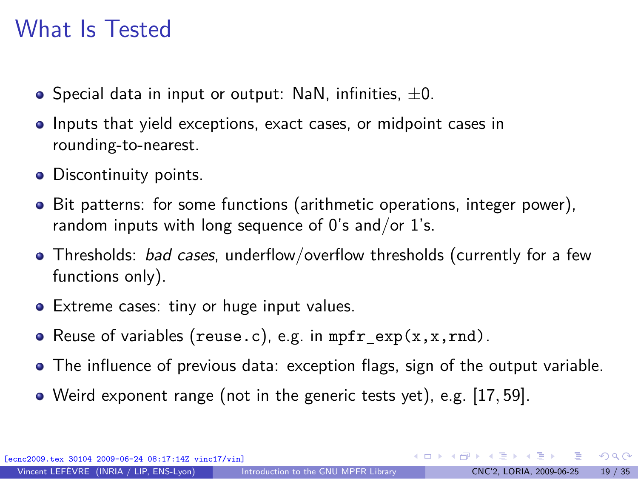#### What Is Tested

- Special data in input or output: NaN, infinities, *±*0.
- **Inputs that yield exceptions, exact cases, or midpoint cases in** rounding-to-nearest.
- Discontinuity points.
- Bit patterns: for some functions (arithmetic operations, integer power), random inputs with long sequence of  $0$ 's and/or  $1$ 's.
- Thresholds: *bad cases*, underflow/overflow thresholds (currently for a few functions only).
- Extreme cases: tiny or huge input values.
- Reuse of variables (reuse.c), e.g. in  $mpr\_exp(x, x, rnd)$ .
- The influence of previous data: exception flags, sign of the output variable.
- Weird exponent range (not in the generic tests yet), e.g. [17*,* 59].

[ecnc2009.tex 30104 2009-06-24 08:17:14Z vinc17/vin]

 $\Omega$ 

イロト イ押ト イヨト イヨトー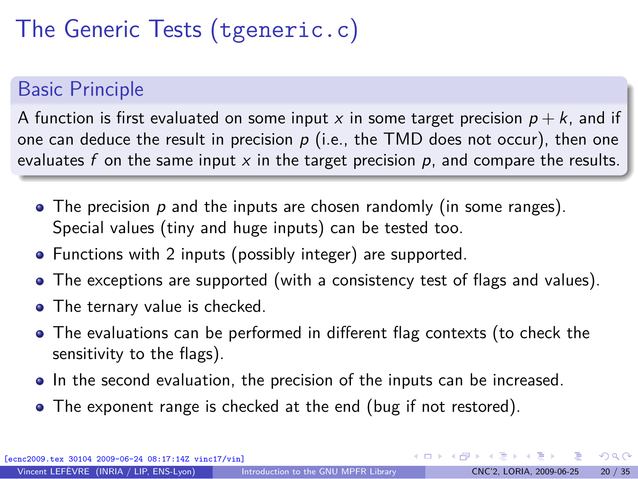# The Generic Tests (tgeneric.c)

#### Basic Principle

A function is first evaluated on some input x in some target precision  $p + k$ , and if one can deduce the result in precision  $p$  (i.e., the TMD does not occur), then one evaluates f on the same input  $x$  in the target precision  $p$ , and compare the results.

- $\bullet$  The precision p and the inputs are chosen randomly (in some ranges). Special values (tiny and huge inputs) can be tested too.
- Functions with 2 inputs (possibly integer) are supported.
- The exceptions are supported (with a consistency test of flags and values).
- The ternary value is checked.
- The evaluations can be performed in different flag contexts (to check the sensitivity to the flags).
- In the second evaluation, the precision of the inputs can be increased.
- The exponent range is checked at the end (bug if not restored).

 $\Omega$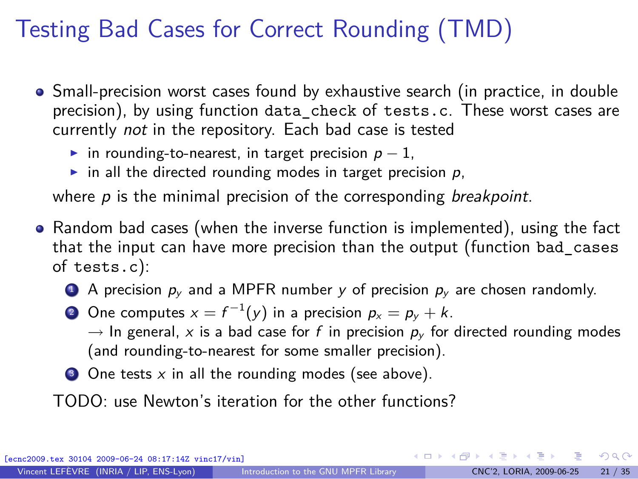## Testing Bad Cases for Correct Rounding (TMD)

- Small-precision worst cases found by exhaustive search (in practice, in double precision), by using function data\_check of tests.c. These worst cases are currently not in the repository. Each bad case is tested
	- ◮ in rounding-to-nearest, in target precision p *−* 1,
	- in all the directed rounding modes in target precision  $p$ ,

where  $p$  is the minimal precision of the corresponding *breakpoint*.

- Random bad cases (when the inverse function is implemented), using the fact that the input can have more precision than the output (function bad\_cases of tests.c):
	- **4** A precision  $p_v$  and a MPFR number y of precision  $p_v$  are chosen randomly.
	- **2** One computes  $x = f^{-1}(y)$  in a precision  $p_x = p_y + k$ .

 $\rightarrow$  In general, x is a bad case for f in precision  $p_{\nu}$  for directed rounding modes (and rounding-to-nearest for some smaller precision).

 $\bullet$  One tests x in all the rounding modes (see above).

TODO: use Newton's iteration for the other functions?

30104 2009-06-24 08:17:14Z vinc17/vin]

 $\Omega$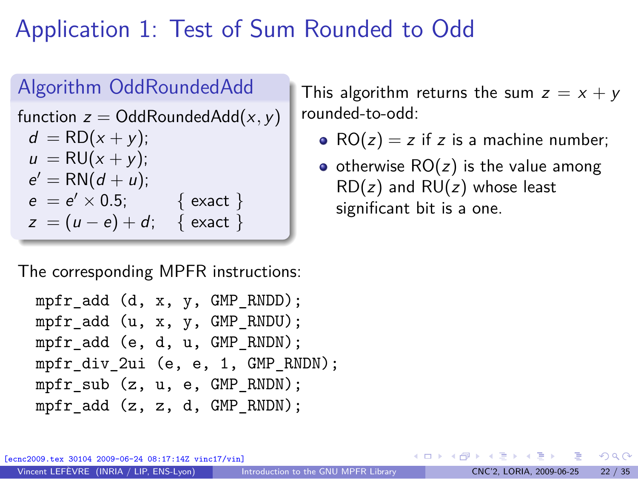## Application 1: Test of Sum Rounded to Odd

#### Algorithm OddRoundedAdd function  $z =$  OddRoundedAdd $(x, y)$  $d = RD(x + y);$  $u = RU(x + v)$ ;  $e' = RN(d + u);$  $e = e' \times 0.5$ ; { exact }  $z = (u - e) + d$ ; { exact }

The corresponding MPFR instructions:

```
mpfr_add (d, x, y, GMP_RNDD);
mpfr_add (u, x, y, GMP_RNDU);
mpfr_add (e, d, u, GMP_RNDN);
mpfr_div_2ui (e, e, 1, GMP_RNDN);
mpfr sub (z, u, e, GMP RNDN);
mpfr_add (z, z, d, GMP RNDN);
```
This algorithm returns the sum  $z = x + y$ rounded-to-odd:

- $RO(z) = z$  if z is a machine number;
- otherwise  $RO(z)$  is the value among  $RD(z)$  and  $RU(z)$  whose least significant bit is a one.

04 2009-06-24 08:17:14Z vinc17/vin]

<span id="page-21-0"></span> $\Omega$ 

∢ ロ ▶ ④ ━ ▶ ④ ≡ ▶ ④ ≡ ▶ │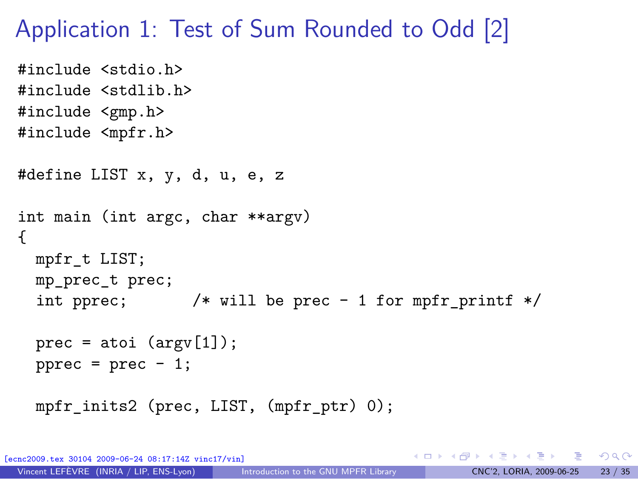#### Application 1: Test of Sum Rounded to Odd [2]

```
#include <stdio.h>
#include <stdlib.h>
#include <gmp.h>
#include <mpfr.h>
#define LIST x, y, d, u, e, z
int main (int argc, char **argv)
{
  mpfr_t LIST;
  mp_prec_t prec;
  int pprec; /* will be prec - 1 for mpfr_printf */
  prec = atoi (argv[1]);pprec = prec - 1;mpfr_inits2 (prec, LIST, (mpfr_ptr) 0);
```
[ecnc2009.tex 30104 2009-06-24 08:17:14Z vinc17/vin]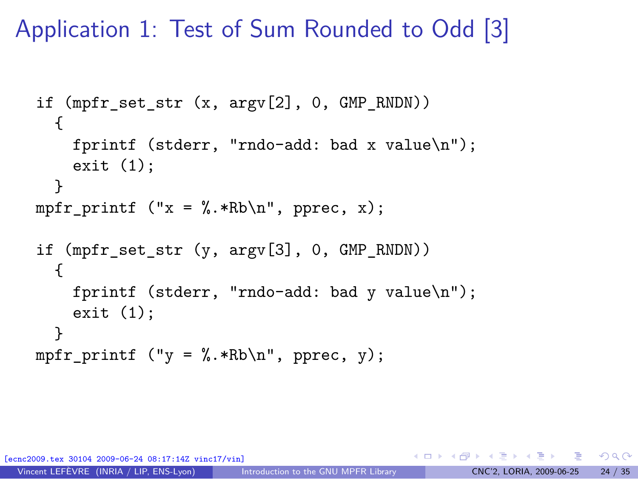Application 1: Test of Sum Rounded to Odd [3]

```
if (mpfr set str (x, \argy[2], 0, \text{GMP RNDN})))
  {
    fprintf (stderr, "rndo-add: bad x value\n");
    exit (1);
  }
mpfr_printf ("x = %.*Rb\nu", pprec, x);if (mpfr set str (y, \text{argv}[3], 0, \text{GMP} RNDN))
  {
    fprintf (stderr, "rndo-add: bad y value\n");
    exit (1);
  }
mpfr printf ("y = \frac{9}{10}.*Rb\n", pprec, y);
```
[ecnc2009.tex 30104 2009-06-24 08:17:14Z vinc17/vin]

 $\Omega$ 

 $\rightarrow$   $\rightarrow$   $\equiv$   $\rightarrow$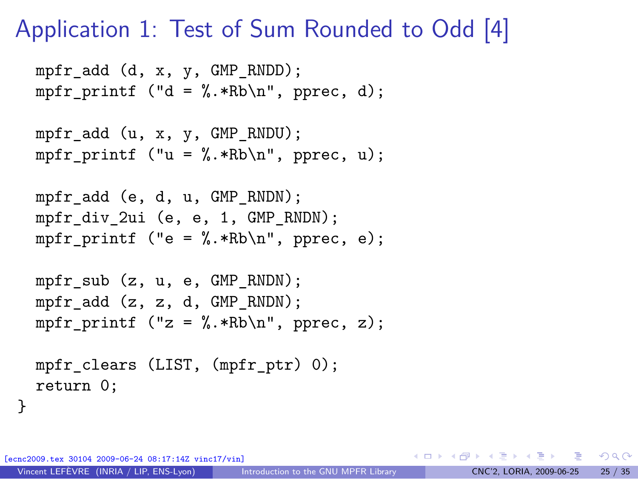#### Application 1: Test of Sum Rounded to Odd [4]

```
mpfr_add (d, x, v, GMP_RNDD);
mpfr printf ("d = \frac{N}{n}.*Rb\n", pprec, d);
mpfr_add (u, x, y, GMP_RNDU);
mpfr printf ("u = \frac{N}{n}.*Rb\n", pprec, u);
mpfr_add (e, d, u, GMP_RNDN);
mpfr div 2ui (e, e, 1, GMP RNDN);
mpfr printf ("e = \frac{N}{n}.*Rb\n", pprec, e);
mpfr sub (z, u, e, GMP RNDN);
mpfr_add (z, z, d, GMP_RNDN);
mpfr_printf ("z = %.*Rb\nu", pprec, z);mpfr_clears (LIST, (mpfr_ptr) 0);
return 0;
```
[ecnc2009.tex 30104 2009-06-24 08:17:14Z vinc17/vin]

}

K ロ ▶ K 個 ▶ K 로 ▶ K 로 ▶ 『 콘 / ⊙ Q ⊙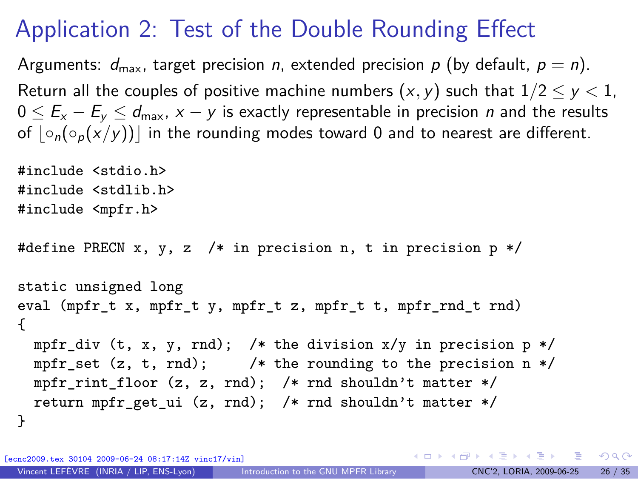## Application 2: Test of the Double Rounding Effect

Arguments:  $d_{\text{max}}$ , target precision n, extended precision p (by default,  $p = n$ ). Return all the couples of positive machine numbers  $(x, y)$  such that  $1/2 < y < 1$ , 0 ≤  $E_x - E_y \le d_{\text{max}}$ ,  $x - y$  is exactly representable in precision *n* and the results of  $| \circ_n({\circ}_n(x/y))|$  in the rounding modes toward 0 and to nearest are different.

```
#include <stdio.h>
#include <stdlib.h>
#include <mpfr.h>
#define PRECN x, y, z /* in precision n, t in precision p */
static unsigned long
eval (mpfr t x, mpfr t y, mpfr t z, mpfr t t, mpfr rnd t rnd)
{
 mpfr_div (t, x, y, rnd); /* the division x/y in precision p */
 mpfr_set (z, t, rnd); /* the rounding to the precision n */
 mpfr_rint_floor (z, z, rnd); /* rnd shouldn't matter */
  return mpfr get ui (z, \text{rnd}); /* rnd shouldn't matter */
}
```
[ecnc2009.tex 30104 2009-06-24 08:17:14Z vinc17/vin]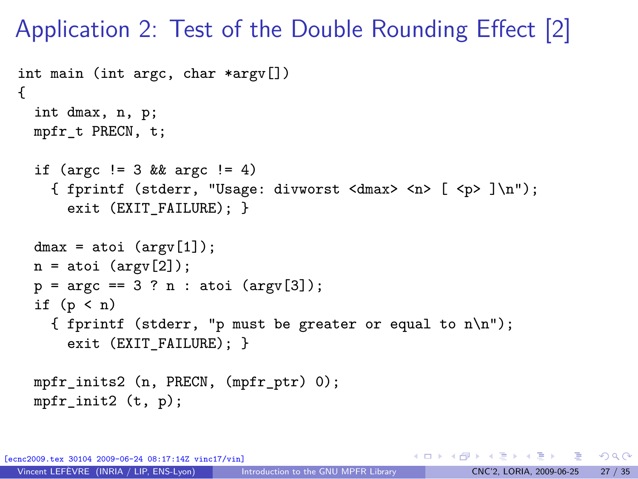Application 2: Test of the Double Rounding Effect [2]

```
int main (int argc, char *argv[])
{
  int dmax, n, p;
 mpfr_t PRECN, t;
  if (argc != 3 && argc != 4)
    { fprintf (stderr, "Usage: divworst <dmax> <n> [ <p> ]\n");
      exit (EXIT_FAILURE); }
  dmax = atoi (argv[1]);n = atoi (argv[2]);p = \arg c == 3 ? n : \text{atoi } (\arg v [3]);
  if (p < n){ fprintf (stderr, "p must be greater or equal to n\n");
      exit (EXIT FAILURE): }
 mpfr_inits2 (n, PRECN, (mpfr_ptr) 0);
 mpfr\_init2 (t, p);
```
[ecnc2009.tex 30104 2009-06-24 08:17:14Z vinc17/vin]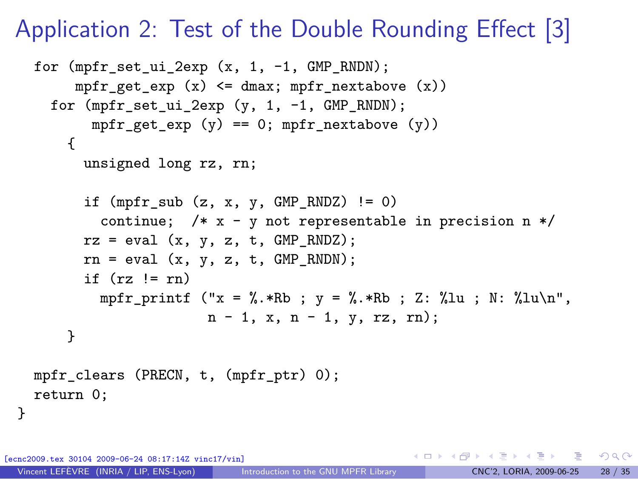#### Application 2: Test of the Double Rounding Effect [3]

```
for (mpfr_set_ui_2exp (x, 1, -1, GMP_RNDN);
     mpfr_get_exp (x) <= dmax; mpfr_nextabove (x))
  for (mpfr set ui 2exp (y, 1, -1, GMP RNDN);
       mpr\_get\_exp (y) == 0; mpr\_nextabove (y))
    {
      unsigned long rz, rn;
      if (mpr\_sub(z, x, y, GMP\_RNDZ) != 0)continue; /* x - y not representable in precision n */
      rz = eval(x, y, z, t, GMP_RNDZ);rn = eval(x, y, z, t, GMP RNDN);if (rz \mid = rn)mpfr_printf ("x = %.*Rb; y = %.*Rb; Z: %lu; N: %lu\n",
                     n - 1, x, n - 1, y, rz, rn);
    }
mpfr_clears (PRECN, t, (mpfr_ptr) 0);
return 0;
```
[ecnc2009.tex 30104 2009-06-24 08:17:14Z vinc17/vin]

}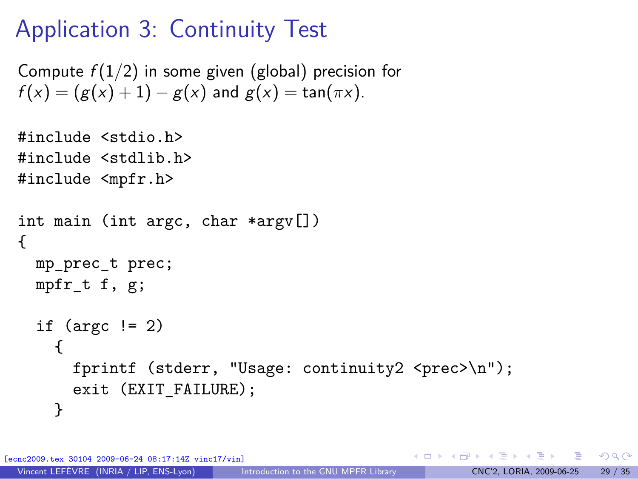## Application 3: Continuity Test

```
Compute f(1/2) in some given (global) precision for
f(x) = (g(x) + 1) - g(x) and g(x) = \tan(\pi x).
```

```
#include <stdio.h>
#include <stdlib.h>
#include <mpfr.h>
int main (int argc, char *argv[])
{
  mp_prec_t prec;
  mpfr t f, g;
  if (\text{argc} != 2){
      fprintf (stderr, "Usage: continuity2 <prec>\n");
      exit (EXIT FAILURE);
    }
```
[ecnc2009.tex 30104 2009-06-24 08:17:14Z vinc17/vin]

 $\Omega$ 

イロメ イ何メ イヨメ イヨメーヨ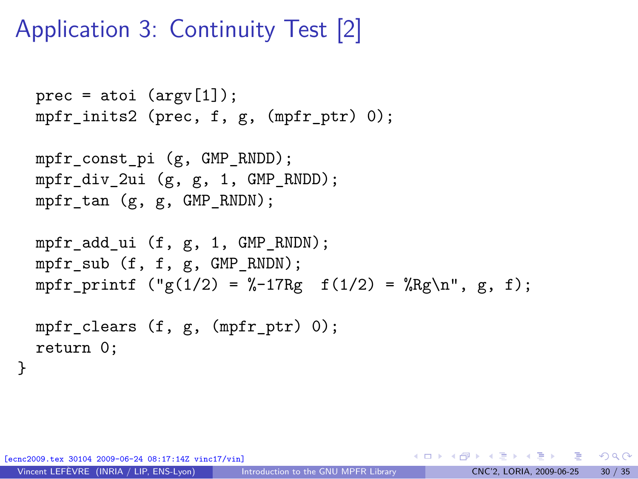## Application 3: Continuity Test [2]

```
prec = atoi (argv[1]);mpfr_inits2 (prec, f, g, (mpfr_ptr) 0);
```

```
mpfr_const_pi (g, GMP_RNDD);
mpfr_div_2ui (g, g, 1, GMP_RNDD);
mpfr_tan (g, g, GMP_RNDN);
```

```
mpfr_add_ui (f, g, 1, GMP_RNDN);
mpfr_sub (f, f, g, GMP_RNDN);
mpfr_printf ("g(1/2) = %-17Rg f(1/2) = %Rg\nu, g, f);
```

```
mpfr_clears (f, g, (mpfr_ptr) 0);
return 0;
```
30104 2009-06-24 08:17:14Z vinc17/vin]

}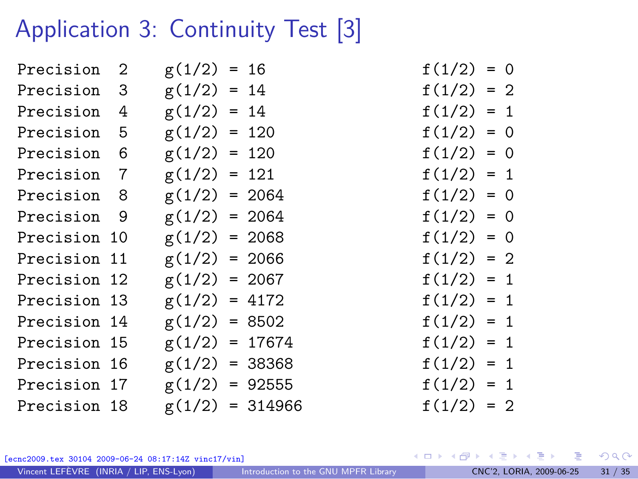## Application 3: Continuity Test [3]

| Precision 2  | $g(1/2) = 16$    |                   | $f(1/2) = 0$ |  |
|--------------|------------------|-------------------|--------------|--|
| Precision 3  | $g(1/2) = 14$    |                   | $f(1/2) = 2$ |  |
| Precision 4  | $g(1/2) = 14$    |                   | $f(1/2) = 1$ |  |
| Precision 5  | $g(1/2) = 120$   |                   | $f(1/2) = 0$ |  |
| Precision 6  | $g(1/2) = 120$   |                   | $f(1/2) = 0$ |  |
| Precision 7  | $g(1/2) = 121$   |                   | $f(1/2) = 1$ |  |
| Precision 8  | $g(1/2) = 2064$  |                   | $f(1/2) = 0$ |  |
| Precision 9  | $g(1/2) = 2064$  |                   | $f(1/2) = 0$ |  |
| Precision 10 | $g(1/2) = 2068$  |                   | $f(1/2) = 0$ |  |
| Precision 11 | $g(1/2) = 2066$  |                   | $f(1/2) = 2$ |  |
| Precision 12 | $g(1/2) = 2067$  |                   | $f(1/2) = 1$ |  |
| Precision 13 | $g(1/2) = 4172$  |                   | $f(1/2) = 1$ |  |
| Precision 14 | $g(1/2) = 8502$  |                   | $f(1/2) = 1$ |  |
| Precision 15 | $g(1/2) = 17674$ |                   | $f(1/2) = 1$ |  |
| Precision 16 | $g(1/2) = 38368$ |                   | $f(1/2) = 1$ |  |
| Precision 17 | $g(1/2) = 92555$ |                   | $f(1/2) = 1$ |  |
| Precision 18 |                  | $g(1/2) = 314966$ | $f(1/2) = 2$ |  |
|              |                  |                   |              |  |

$$
f(1/2) = 0
$$
  
\n
$$
f(1/2) = 2
$$
  
\n
$$
f(1/2) = 1
$$
  
\n
$$
f(1/2) = 0
$$
  
\n
$$
f(1/2) = 0
$$
  
\n
$$
f(1/2) = 0
$$
  
\n
$$
f(1/2) = 0
$$
  
\n
$$
f(1/2) = 2
$$
  
\n
$$
f(1/2) = 1
$$
  
\n
$$
f(1/2) = 1
$$
  
\n
$$
f(1/2) = 1
$$
  
\n
$$
f(1/2) = 1
$$
  
\n
$$
f(1/2) = 1
$$
  
\n
$$
f(1/2) = 1
$$
  
\n
$$
f(1/2) = 1
$$
  
\n
$$
f(1/2) = 1
$$
  
\n
$$
f(1/2) = 1
$$
  
\n
$$
f(1/2) = 2
$$

[ecnc2009.tex 30104 2009-06-24 08:17:14Z vinc17/vin]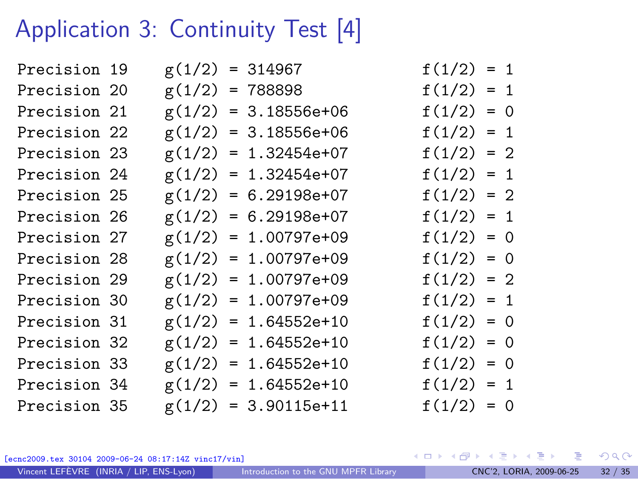## Application 3: Continuity Test [4]

| Precision 19 |  | $g(1/2) = 314967$      | $f(1/2) = 1$ |  |
|--------------|--|------------------------|--------------|--|
| Precision 20 |  | $g(1/2) = 788898$      | $f(1/2) = 1$ |  |
| Precision 21 |  | $g(1/2) = 3.18556e+06$ | $f(1/2) = 0$ |  |
| Precision 22 |  | $g(1/2) = 3.18556e+06$ | $f(1/2) = 1$ |  |
| Precision 23 |  | $g(1/2) = 1.32454e+07$ | $f(1/2) = 2$ |  |
| Precision 24 |  | $g(1/2) = 1.32454e+07$ | $f(1/2) = 1$ |  |
| Precision 25 |  | $g(1/2) = 6.29198e+07$ | $f(1/2) = 2$ |  |
| Precision 26 |  | $g(1/2) = 6.29198e+07$ | $f(1/2) = 1$ |  |
| Precision 27 |  | $g(1/2) = 1.00797e+09$ | $f(1/2) = 0$ |  |
| Precision 28 |  | $g(1/2) = 1.00797e+09$ | $f(1/2) = 0$ |  |
| Precision 29 |  | $g(1/2) = 1.00797e+09$ | $f(1/2) = 2$ |  |
| Precision 30 |  | $g(1/2) = 1.00797e+09$ | $f(1/2) = 1$ |  |
| Precision 31 |  | $g(1/2) = 1.64552e+10$ | $f(1/2) = 0$ |  |
| Precision 32 |  | $g(1/2) = 1.64552e+10$ | $f(1/2) = 0$ |  |
| Precision 33 |  | $g(1/2) = 1.64552e+10$ | $f(1/2) = 0$ |  |
| Precision 34 |  | $g(1/2) = 1.64552e+10$ | $f(1/2) = 1$ |  |
| Precision 35 |  | $g(1/2) = 3.90115e+11$ | $f(1/2) = 0$ |  |
|              |  |                        |              |  |

[ecnc2009.tex 30104 2009-06-24 08:17:14Z vinc17/vin]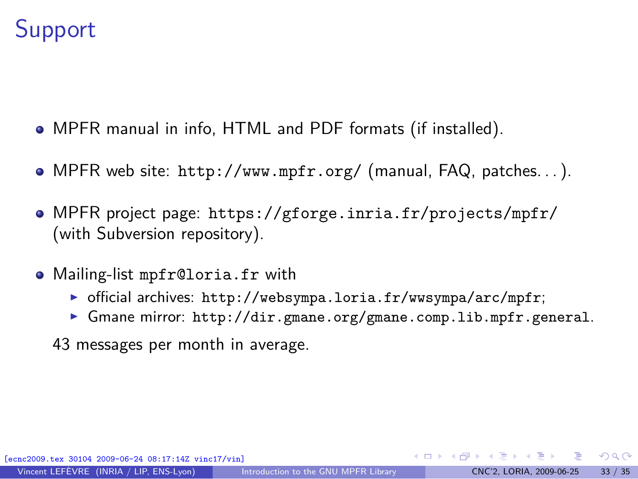### **Support**

- MPFR manual in info, HTML and PDF formats (if installed).
- MPFR web site: <http://www.mpfr.org/> (manual, FAQ, patches. . . ).
- MPFR project page: <https://gforge.inria.fr/projects/mpfr/> (with Subversion repository).
- Mailing-list mpfr@loria.fr with
	- $\triangleright$  official archives: <http://websympa.loria.fr/wwsympa/arc/mpfr>;
	- ► Gmane mirror: <http://dir.gmane.org/gmane.comp.lib.mpfr.general>.
	- 43 messages per month in average.

<span id="page-32-0"></span> $\Omega$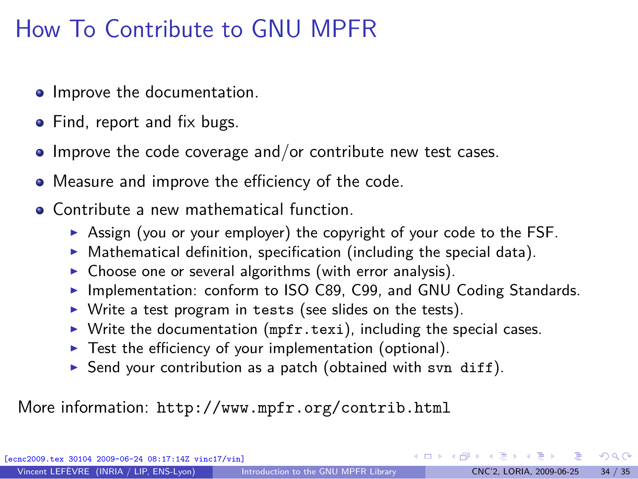## How To Contribute to GNU MPFR

- **•** Improve the documentation.
- Find, report and fix bugs.
- $\bullet$  Improve the code coverage and/or contribute new test cases.
- Measure and improve the efficiency of the code.
- **Contribute a new mathematical function.** 
	- ▶ Assign (you or your employer) the copyright of your code to the FSF.
	- $\triangleright$  Mathematical definition, specification (including the special data).
	- $\triangleright$  Choose one or several algorithms (with error analysis).
	- ▶ Implementation: conform to ISO C89, C99, and GNU Coding Standards.
	- $\triangleright$  Write a test program in tests (see slides on the tests).
	- $\triangleright$  Write the documentation (mpfr.texi), including the special cases.
	- $\blacktriangleright$  Test the efficiency of your implementation (optional).
	- Send your contribution as a patch (obtained with svn diff).

More information: <http://www.mpfr.org/contrib.html>

30104 2009-06-24 08:17:14Z vinc17/vin]

 $\Omega$